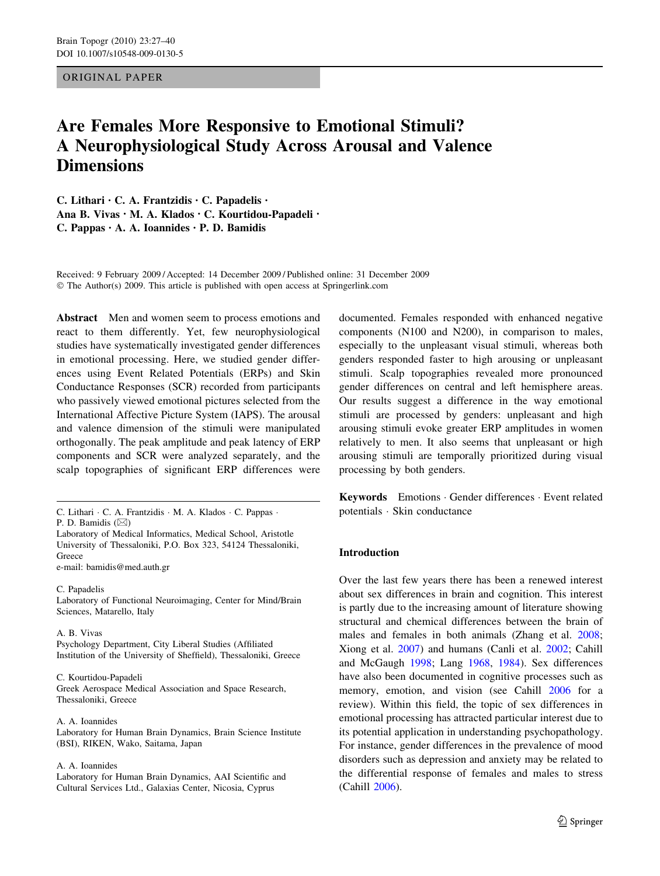ORIGINAL PAPER

# Are Females More Responsive to Emotional Stimuli? A Neurophysiological Study Across Arousal and Valence **Dimensions**

C. Lithari • C. A. Frantzidis • C. Papadelis • Ana B. Vivas • M. A. Klados • C. Kourtidou-Papadeli • C. Pappas • A. A. Ioannides • P. D. Bamidis

Received: 9 February 2009 / Accepted: 14 December 2009 / Published online: 31 December 2009  $\odot$  The Author(s) 2009. This article is published with open access at Springerlink.com

Abstract Men and women seem to process emotions and react to them differently. Yet, few neurophysiological studies have systematically investigated gender differences in emotional processing. Here, we studied gender differences using Event Related Potentials (ERPs) and Skin Conductance Responses (SCR) recorded from participants who passively viewed emotional pictures selected from the International Affective Picture System (IAPS). The arousal and valence dimension of the stimuli were manipulated orthogonally. The peak amplitude and peak latency of ERP components and SCR were analyzed separately, and the scalp topographies of significant ERP differences were

C. Lithari · C. A. Frantzidis · M. A. Klados · C. Pappas ·

P. D. Bamidis  $(\boxtimes)$ 

Laboratory of Medical Informatics, Medical School, Aristotle University of Thessaloniki, P.O. Box 323, 54124 Thessaloniki, Greece

e-mail: bamidis@med.auth.gr

C. Papadelis Laboratory of Functional Neuroimaging, Center for Mind/Brain Sciences, Matarello, Italy

#### A. B. Vivas

Psychology Department, City Liberal Studies (Affiliated Institution of the University of Sheffield), Thessaloniki, Greece

## C. Kourtidou-Papadeli

Greek Aerospace Medical Association and Space Research, Thessaloniki, Greece

A. A. Ioannides

Laboratory for Human Brain Dynamics, Brain Science Institute (BSI), RIKEN, Wako, Saitama, Japan

#### A. A. Ioannides

Laboratory for Human Brain Dynamics, AAI Scientific and Cultural Services Ltd., Galaxias Center, Nicosia, Cyprus

documented. Females responded with enhanced negative components (N100 and N200), in comparison to males, especially to the unpleasant visual stimuli, whereas both genders responded faster to high arousing or unpleasant stimuli. Scalp topographies revealed more pronounced gender differences on central and left hemisphere areas. Our results suggest a difference in the way emotional stimuli are processed by genders: unpleasant and high arousing stimuli evoke greater ERP amplitudes in women relatively to men. It also seems that unpleasant or high arousing stimuli are temporally prioritized during visual processing by both genders.

Keywords Emotions · Gender differences · Event related  $potentials - Skin$  conductance

## Introduction

Over the last few years there has been a renewed interest about sex differences in brain and cognition. This interest is partly due to the increasing amount of literature showing structural and chemical differences between the brain of males and females in both animals (Zhang et al. [2008](#page-13-0); Xiong et al. [2007](#page-13-0)) and humans (Canli et al. [2002](#page-11-0); Cahill and McGaugh [1998;](#page-11-0) Lang [1968](#page-12-0), [1984\)](#page-12-0). Sex differences have also been documented in cognitive processes such as memory, emotion, and vision (see Cahill [2006](#page-11-0) for a review). Within this field, the topic of sex differences in emotional processing has attracted particular interest due to its potential application in understanding psychopathology. For instance, gender differences in the prevalence of mood disorders such as depression and anxiety may be related to the differential response of females and males to stress (Cahill [2006](#page-11-0)).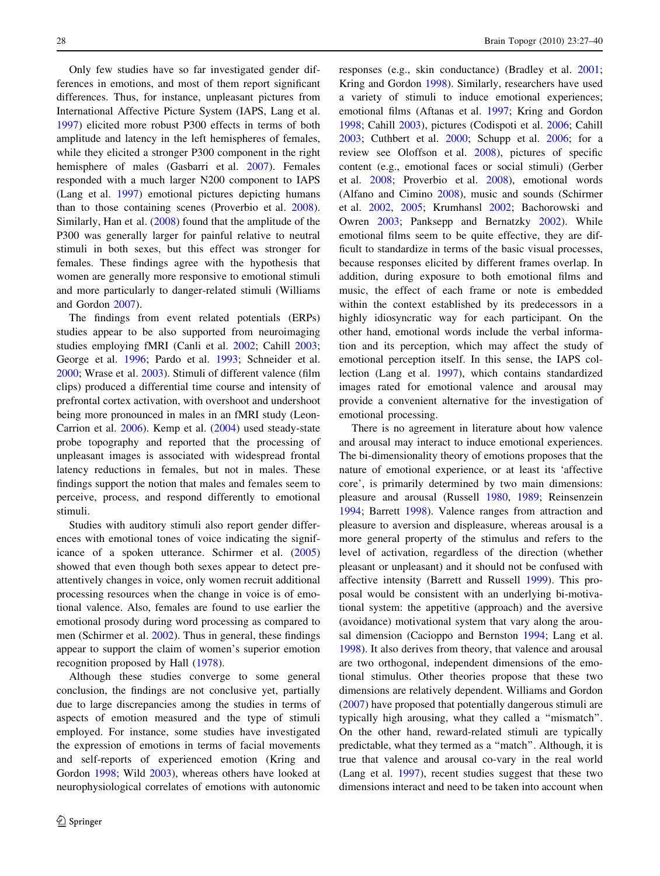Only few studies have so far investigated gender differences in emotions, and most of them report significant differences. Thus, for instance, unpleasant pictures from International Affective Picture System (IAPS, Lang et al. [1997\)](#page-12-0) elicited more robust P300 effects in terms of both amplitude and latency in the left hemispheres of females, while they elicited a stronger P300 component in the right hemisphere of males (Gasbarri et al. [2007\)](#page-12-0). Females responded with a much larger N200 component to IAPS (Lang et al. [1997](#page-12-0)) emotional pictures depicting humans than to those containing scenes (Proverbio et al. [2008](#page-12-0)). Similarly, Han et al. ([2008\)](#page-12-0) found that the amplitude of the P300 was generally larger for painful relative to neutral stimuli in both sexes, but this effect was stronger for females. These findings agree with the hypothesis that women are generally more responsive to emotional stimuli and more particularly to danger-related stimuli (Williams and Gordon [2007\)](#page-13-0).

The findings from event related potentials (ERPs) studies appear to be also supported from neuroimaging studies employing fMRI (Canli et al. [2002](#page-11-0); Cahill [2003](#page-11-0); George et al. [1996;](#page-12-0) Pardo et al. [1993;](#page-12-0) Schneider et al. [2000;](#page-13-0) Wrase et al. [2003\)](#page-13-0). Stimuli of different valence (film clips) produced a differential time course and intensity of prefrontal cortex activation, with overshoot and undershoot being more pronounced in males in an fMRI study (Leon-Carrion et al. [2006\)](#page-12-0). Kemp et al. [\(2004](#page-12-0)) used steady-state probe topography and reported that the processing of unpleasant images is associated with widespread frontal latency reductions in females, but not in males. These findings support the notion that males and females seem to perceive, process, and respond differently to emotional stimuli.

Studies with auditory stimuli also report gender differences with emotional tones of voice indicating the significance of a spoken utterance. Schirmer et al. ([2005\)](#page-13-0) showed that even though both sexes appear to detect preattentively changes in voice, only women recruit additional processing resources when the change in voice is of emotional valence. Also, females are found to use earlier the emotional prosody during word processing as compared to men (Schirmer et al. [2002\)](#page-12-0). Thus in general, these findings appear to support the claim of women's superior emotion recognition proposed by Hall [\(1978](#page-12-0)).

Although these studies converge to some general conclusion, the findings are not conclusive yet, partially due to large discrepancies among the studies in terms of aspects of emotion measured and the type of stimuli employed. For instance, some studies have investigated the expression of emotions in terms of facial movements and self-reports of experienced emotion (Kring and Gordon [1998](#page-12-0); Wild [2003\)](#page-13-0), whereas others have looked at neurophysiological correlates of emotions with autonomic responses (e.g., skin conductance) (Bradley et al. [2001](#page-11-0); Kring and Gordon [1998\)](#page-12-0). Similarly, researchers have used a variety of stimuli to induce emotional experiences; emotional films (Aftanas et al. [1997](#page-11-0); Kring and Gordon [1998](#page-12-0); Cahill [2003](#page-11-0)), pictures (Codispoti et al. [2006;](#page-11-0) Cahill [2003](#page-11-0); Cuthbert et al. [2000](#page-12-0); Schupp et al. [2006](#page-13-0); for a review see Oloffson et al. [2008](#page-12-0)), pictures of specific content (e.g., emotional faces or social stimuli) (Gerber et al. [2008;](#page-12-0) Proverbio et al. [2008\)](#page-12-0), emotional words (Alfano and Cimino [2008\)](#page-11-0), music and sounds (Schirmer et al. [2002,](#page-12-0) [2005;](#page-13-0) Krumhansl [2002;](#page-12-0) Bachorowski and Owren [2003;](#page-11-0) Panksepp and Bernatzky [2002\)](#page-12-0). While emotional films seem to be quite effective, they are difficult to standardize in terms of the basic visual processes, because responses elicited by different frames overlap. In addition, during exposure to both emotional films and music, the effect of each frame or note is embedded within the context established by its predecessors in a highly idiosyncratic way for each participant. On the other hand, emotional words include the verbal information and its perception, which may affect the study of emotional perception itself. In this sense, the IAPS collection (Lang et al. [1997\)](#page-12-0), which contains standardized images rated for emotional valence and arousal may provide a convenient alternative for the investigation of emotional processing.

There is no agreement in literature about how valence and arousal may interact to induce emotional experiences. The bi-dimensionality theory of emotions proposes that the nature of emotional experience, or at least its 'affective core', is primarily determined by two main dimensions: pleasure and arousal (Russell [1980,](#page-12-0) [1989;](#page-12-0) Reinsenzein [1994](#page-12-0); Barrett [1998\)](#page-11-0). Valence ranges from attraction and pleasure to aversion and displeasure, whereas arousal is a more general property of the stimulus and refers to the level of activation, regardless of the direction (whether pleasant or unpleasant) and it should not be confused with affective intensity (Barrett and Russell [1999\)](#page-11-0). This proposal would be consistent with an underlying bi-motivational system: the appetitive (approach) and the aversive (avoidance) motivational system that vary along the arousal dimension (Cacioppo and Bernston [1994](#page-11-0); Lang et al. [1998](#page-12-0)). It also derives from theory, that valence and arousal are two orthogonal, independent dimensions of the emotional stimulus. Other theories propose that these two dimensions are relatively dependent. Williams and Gordon [\(2007](#page-13-0)) have proposed that potentially dangerous stimuli are typically high arousing, what they called a ''mismatch''. On the other hand, reward-related stimuli are typically predictable, what they termed as a ''match''. Although, it is true that valence and arousal co-vary in the real world (Lang et al. [1997](#page-12-0)), recent studies suggest that these two dimensions interact and need to be taken into account when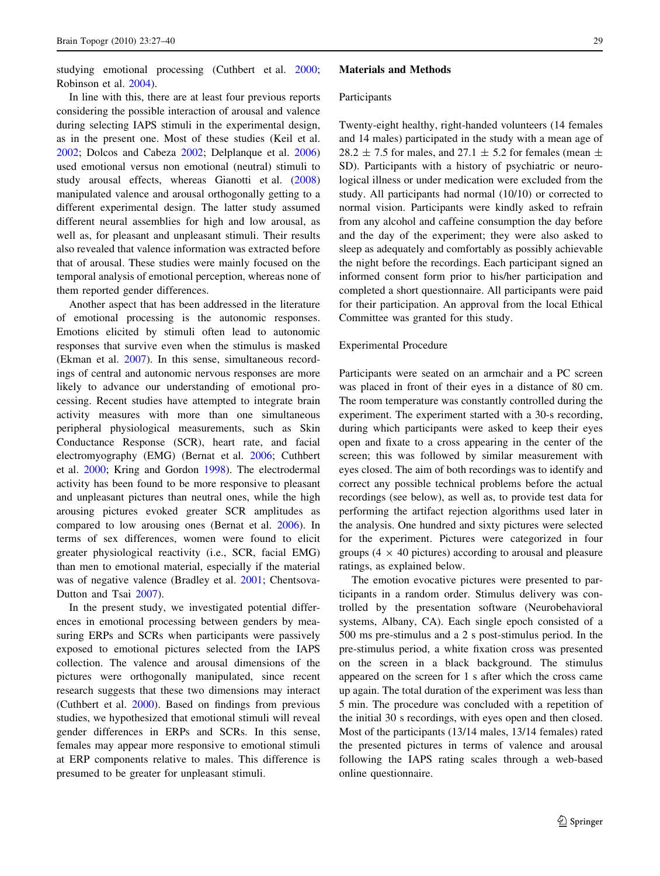studying emotional processing (Cuthbert et al. [2000](#page-12-0); Robinson et al. [2004](#page-12-0)).

In line with this, there are at least four previous reports considering the possible interaction of arousal and valence during selecting IAPS stimuli in the experimental design, as in the present one. Most of these studies (Keil et al. [2002;](#page-12-0) Dolcos and Cabeza [2002](#page-12-0); Delplanque et al. [2006\)](#page-12-0) used emotional versus non emotional (neutral) stimuli to study arousal effects, whereas Gianotti et al. ([2008\)](#page-12-0) manipulated valence and arousal orthogonally getting to a different experimental design. The latter study assumed different neural assemblies for high and low arousal, as well as, for pleasant and unpleasant stimuli. Their results also revealed that valence information was extracted before that of arousal. These studies were mainly focused on the temporal analysis of emotional perception, whereas none of them reported gender differences.

Another aspect that has been addressed in the literature of emotional processing is the autonomic responses. Emotions elicited by stimuli often lead to autonomic responses that survive even when the stimulus is masked (Ekman et al. [2007](#page-12-0)). In this sense, simultaneous recordings of central and autonomic nervous responses are more likely to advance our understanding of emotional processing. Recent studies have attempted to integrate brain activity measures with more than one simultaneous peripheral physiological measurements, such as Skin Conductance Response (SCR), heart rate, and facial electromyography (EMG) (Bernat et al. [2006;](#page-11-0) Cuthbert et al. [2000;](#page-12-0) Kring and Gordon [1998\)](#page-12-0). The electrodermal activity has been found to be more responsive to pleasant and unpleasant pictures than neutral ones, while the high arousing pictures evoked greater SCR amplitudes as compared to low arousing ones (Bernat et al. [2006](#page-11-0)). In terms of sex differences, women were found to elicit greater physiological reactivity (i.e., SCR, facial EMG) than men to emotional material, especially if the material was of negative valence (Bradley et al. [2001](#page-11-0); Chentsova-Dutton and Tsai [2007](#page-11-0)).

In the present study, we investigated potential differences in emotional processing between genders by measuring ERPs and SCRs when participants were passively exposed to emotional pictures selected from the IAPS collection. The valence and arousal dimensions of the pictures were orthogonally manipulated, since recent research suggests that these two dimensions may interact (Cuthbert et al. [2000](#page-12-0)). Based on findings from previous studies, we hypothesized that emotional stimuli will reveal gender differences in ERPs and SCRs. In this sense, females may appear more responsive to emotional stimuli at ERP components relative to males. This difference is presumed to be greater for unpleasant stimuli.

#### Materials and Methods

#### Participants

Twenty-eight healthy, right-handed volunteers (14 females and 14 males) participated in the study with a mean age of 28.2  $\pm$  7.5 for males, and 27.1  $\pm$  5.2 for females (mean  $\pm$ SD). Participants with a history of psychiatric or neurological illness or under medication were excluded from the study. All participants had normal (10/10) or corrected to normal vision. Participants were kindly asked to refrain from any alcohol and caffeine consumption the day before and the day of the experiment; they were also asked to sleep as adequately and comfortably as possibly achievable the night before the recordings. Each participant signed an informed consent form prior to his/her participation and completed a short questionnaire. All participants were paid for their participation. An approval from the local Ethical Committee was granted for this study.

## Experimental Procedure

Participants were seated on an armchair and a PC screen was placed in front of their eyes in a distance of 80 cm. The room temperature was constantly controlled during the experiment. The experiment started with a 30-s recording, during which participants were asked to keep their eyes open and fixate to a cross appearing in the center of the screen; this was followed by similar measurement with eyes closed. The aim of both recordings was to identify and correct any possible technical problems before the actual recordings (see below), as well as, to provide test data for performing the artifact rejection algorithms used later in the analysis. One hundred and sixty pictures were selected for the experiment. Pictures were categorized in four groups (4  $\times$  40 pictures) according to arousal and pleasure ratings, as explained below.

The emotion evocative pictures were presented to participants in a random order. Stimulus delivery was controlled by the presentation software (Neurobehavioral systems, Albany, CA). Each single epoch consisted of a 500 ms pre-stimulus and a 2 s post-stimulus period. In the pre-stimulus period, a white fixation cross was presented on the screen in a black background. The stimulus appeared on the screen for 1 s after which the cross came up again. The total duration of the experiment was less than 5 min. The procedure was concluded with a repetition of the initial 30 s recordings, with eyes open and then closed. Most of the participants (13/14 males, 13/14 females) rated the presented pictures in terms of valence and arousal following the IAPS rating scales through a web-based online questionnaire.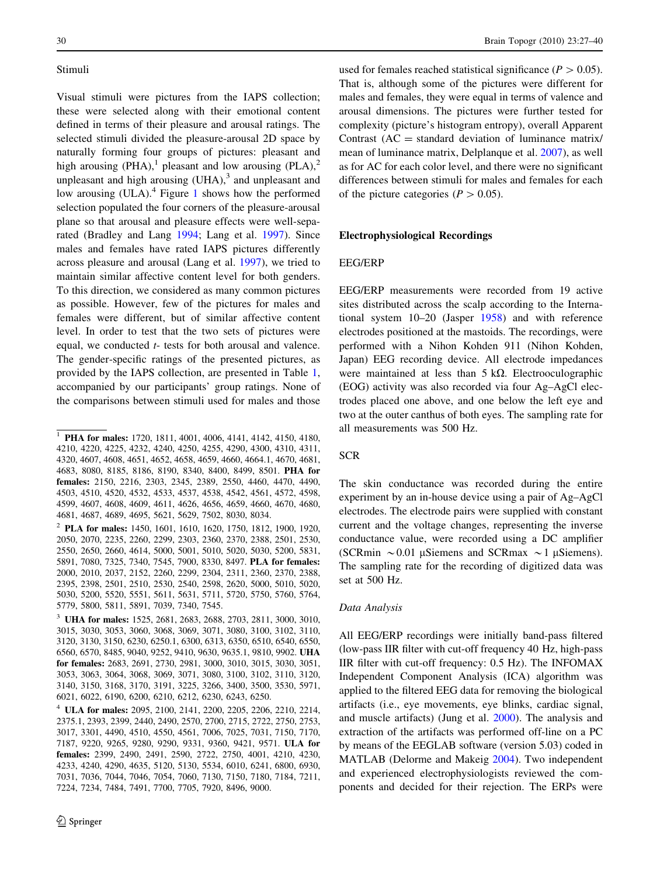## Stimuli

Visual stimuli were pictures from the IAPS collection; these were selected along with their emotional content defined in terms of their pleasure and arousal ratings. The selected stimuli divided the pleasure-arousal 2D space by naturally forming four groups of pictures: pleasant and high arousing (PHA),<sup>1</sup> pleasant and low arousing (PLA),<sup>2</sup> unpleasant and high arousing  $(UHA)$ , and unpleasant and low arousing  $(ULA)^4$ . Figure [1](#page-4-0) shows how the performed selection populated the four corners of the pleasure-arousal plane so that arousal and pleasure effects were well-separated (Bradley and Lang [1994](#page-11-0); Lang et al. [1997\)](#page-12-0). Since males and females have rated IAPS pictures differently across pleasure and arousal (Lang et al. [1997\)](#page-12-0), we tried to maintain similar affective content level for both genders. To this direction, we considered as many common pictures as possible. However, few of the pictures for males and females were different, but of similar affective content level. In order to test that the two sets of pictures were equal, we conducted t- tests for both arousal and valence. The gender-specific ratings of the presented pictures, as provided by the IAPS collection, are presented in Table [1,](#page-4-0) accompanied by our participants' group ratings. None of the comparisons between stimuli used for males and those

<sup>2</sup> PLA for males: 1450, 1601, 1610, 1620, 1750, 1812, 1900, 1920, 2050, 2070, 2235, 2260, 2299, 2303, 2360, 2370, 2388, 2501, 2530, 2550, 2650, 2660, 4614, 5000, 5001, 5010, 5020, 5030, 5200, 5831, 5891, 7080, 7325, 7340, 7545, 7900, 8330, 8497. PLA for females: 2000, 2010, 2037, 2152, 2260, 2299, 2304, 2311, 2360, 2370, 2388, 2395, 2398, 2501, 2510, 2530, 2540, 2598, 2620, 5000, 5010, 5020, 5030, 5200, 5520, 5551, 5611, 5631, 5711, 5720, 5750, 5760, 5764, 5779, 5800, 5811, 5891, 7039, 7340, 7545.

<sup>3</sup> UHA for males: 1525, 2681, 2683, 2688, 2703, 2811, 3000, 3010, 3015, 3030, 3053, 3060, 3068, 3069, 3071, 3080, 3100, 3102, 3110, 3120, 3130, 3150, 6230, 6250.1, 6300, 6313, 6350, 6510, 6540, 6550, 6560, 6570, 8485, 9040, 9252, 9410, 9630, 9635.1, 9810, 9902. UHA for females: 2683, 2691, 2730, 2981, 3000, 3010, 3015, 3030, 3051, 3053, 3063, 3064, 3068, 3069, 3071, 3080, 3100, 3102, 3110, 3120, 3140, 3150, 3168, 3170, 3191, 3225, 3266, 3400, 3500, 3530, 5971, 6021, 6022, 6190, 6200, 6210, 6212, 6230, 6243, 6250.

<sup>4</sup> ULA for males: 2095, 2100, 2141, 2200, 2205, 2206, 2210, 2214, 2375.1, 2393, 2399, 2440, 2490, 2570, 2700, 2715, 2722, 2750, 2753, 3017, 3301, 4490, 4510, 4550, 4561, 7006, 7025, 7031, 7150, 7170, 7187, 9220, 9265, 9280, 9290, 9331, 9360, 9421, 9571. ULA for females: 2399, 2490, 2491, 2590, 2722, 2750, 4001, 4210, 4230, 4233, 4240, 4290, 4635, 5120, 5130, 5534, 6010, 6241, 6800, 6930, 7031, 7036, 7044, 7046, 7054, 7060, 7130, 7150, 7180, 7184, 7211, 7224, 7234, 7484, 7491, 7700, 7705, 7920, 8496, 9000.

used for females reached statistical significance ( $P > 0.05$ ). That is, although some of the pictures were different for males and females, they were equal in terms of valence and arousal dimensions. The pictures were further tested for complexity (picture's histogram entropy), overall Apparent Contrast  $(AC = standard deviation of luminance matrix)$ mean of luminance matrix, Delplanque et al. [2007\)](#page-12-0), as well as for AC for each color level, and there were no significant differences between stimuli for males and females for each of the picture categories ( $P > 0.05$ ).

## Electrophysiological Recordings

## EEG/ERP

EEG/ERP measurements were recorded from 19 active sites distributed across the scalp according to the International system 10–20 (Jasper [1958\)](#page-12-0) and with reference electrodes positioned at the mastoids. The recordings, were performed with a Nihon Kohden 911 (Nihon Kohden, Japan) EEG recording device. All electrode impedances were maintained at less than  $5 \text{ k}\Omega$ . Electrooculographic (EOG) activity was also recorded via four Ag–AgCl electrodes placed one above, and one below the left eye and two at the outer canthus of both eyes. The sampling rate for all measurements was 500 Hz.

## SCR

The skin conductance was recorded during the entire experiment by an in-house device using a pair of Ag–AgCl electrodes. The electrode pairs were supplied with constant current and the voltage changes, representing the inverse conductance value, were recorded using a DC amplifier (SCRmin  $\sim 0.01$  µSiemens and SCRmax  $\sim 1$  µSiemens). The sampling rate for the recording of digitized data was set at 500 Hz.

#### Data Analysis

All EEG/ERP recordings were initially band-pass filtered (low-pass IIR filter with cut-off frequency 40 Hz, high-pass IIR filter with cut-off frequency: 0.5 Hz). The INFOMAX Independent Component Analysis (ICA) algorithm was applied to the filtered EEG data for removing the biological artifacts (i.e., eye movements, eye blinks, cardiac signal, and muscle artifacts) (Jung et al. [2000](#page-12-0)). The analysis and extraction of the artifacts was performed off-line on a PC by means of the EEGLAB software (version 5.03) coded in MATLAB (Delorme and Makeig [2004\)](#page-12-0). Two independent and experienced electrophysiologists reviewed the components and decided for their rejection. The ERPs were

<sup>&</sup>lt;sup>1</sup> PHA for males: 1720, 1811, 4001, 4006, 4141, 4142, 4150, 4180, 4210, 4220, 4225, 4232, 4240, 4250, 4255, 4290, 4300, 4310, 4311, 4320, 4607, 4608, 4651, 4652, 4658, 4659, 4660, 4664.1, 4670, 4681, 4683, 8080, 8185, 8186, 8190, 8340, 8400, 8499, 8501. PHA for females: 2150, 2216, 2303, 2345, 2389, 2550, 4460, 4470, 4490, 4503, 4510, 4520, 4532, 4533, 4537, 4538, 4542, 4561, 4572, 4598, 4599, 4607, 4608, 4609, 4611, 4626, 4656, 4659, 4660, 4670, 4680, 4681, 4687, 4689, 4695, 5621, 5629, 7502, 8030, 8034.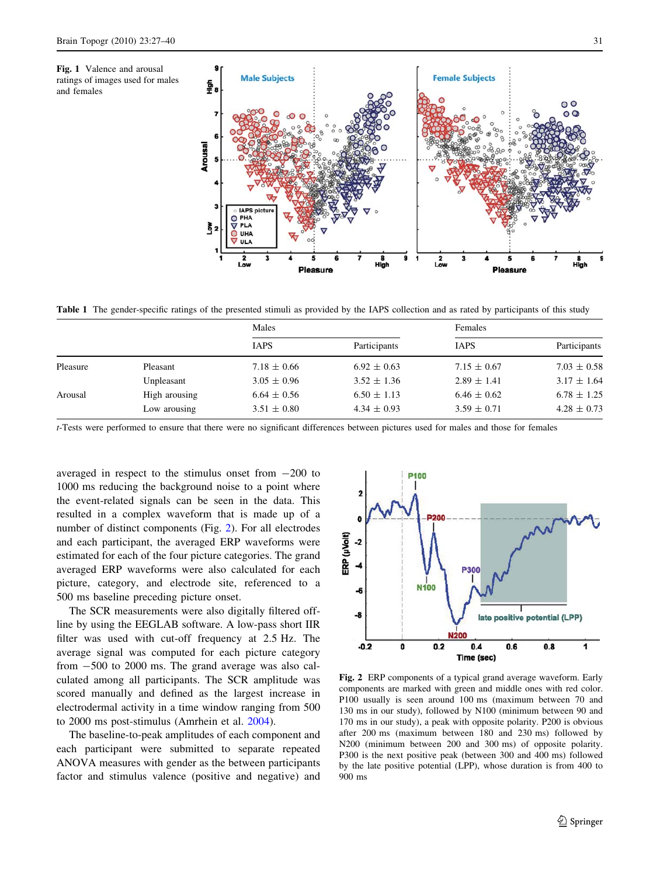<span id="page-4-0"></span>



Table 1 The gender-specific ratings of the presented stimuli as provided by the IAPS collection and as rated by participants of this study

|          |               | Males           |                 | Females         |                 |
|----------|---------------|-----------------|-----------------|-----------------|-----------------|
|          |               | <b>IAPS</b>     | Participants    | <b>IAPS</b>     | Participants    |
| Pleasure | Pleasant      | $7.18 \pm 0.66$ | $6.92 \pm 0.63$ | $7.15 \pm 0.67$ | $7.03 \pm 0.58$ |
|          | Unpleasant    | $3.05 \pm 0.96$ | $3.52 \pm 1.36$ | $2.89 \pm 1.41$ | $3.17 \pm 1.64$ |
| Arousal  | High arousing | $6.64 \pm 0.56$ | $6.50 \pm 1.13$ | $6.46 \pm 0.62$ | $6.78 \pm 1.25$ |
|          | Low arousing  | $3.51 \pm 0.80$ | $4.34 \pm 0.93$ | $3.59 \pm 0.71$ | $4.28 \pm 0.73$ |

t-Tests were performed to ensure that there were no significant differences between pictures used for males and those for females

averaged in respect to the stimulus onset from  $-200$  to 1000 ms reducing the background noise to a point where the event-related signals can be seen in the data. This resulted in a complex waveform that is made up of a number of distinct components (Fig. 2). For all electrodes and each participant, the averaged ERP waveforms were estimated for each of the four picture categories. The grand averaged ERP waveforms were also calculated for each picture, category, and electrode site, referenced to a 500 ms baseline preceding picture onset.

The SCR measurements were also digitally filtered offline by using the EEGLAB software. A low-pass short IIR filter was used with cut-off frequency at 2.5 Hz. The average signal was computed for each picture category from -500 to 2000 ms. The grand average was also calculated among all participants. The SCR amplitude was scored manually and defined as the largest increase in electrodermal activity in a time window ranging from 500 to 2000 ms post-stimulus (Amrhein et al. [2004](#page-11-0)).

The baseline-to-peak amplitudes of each component and each participant were submitted to separate repeated ANOVA measures with gender as the between participants factor and stimulus valence (positive and negative) and



Fig. 2 ERP components of a typical grand average waveform. Early components are marked with green and middle ones with red color. P100 usually is seen around 100 ms (maximum between 70 and 130 ms in our study), followed by N100 (minimum between 90 and 170 ms in our study), a peak with opposite polarity. P200 is obvious after 200 ms (maximum between 180 and 230 ms) followed by N200 (minimum between 200 and 300 ms) of opposite polarity. P300 is the next positive peak (between 300 and 400 ms) followed by the late positive potential (LPP), whose duration is from 400 to 900 ms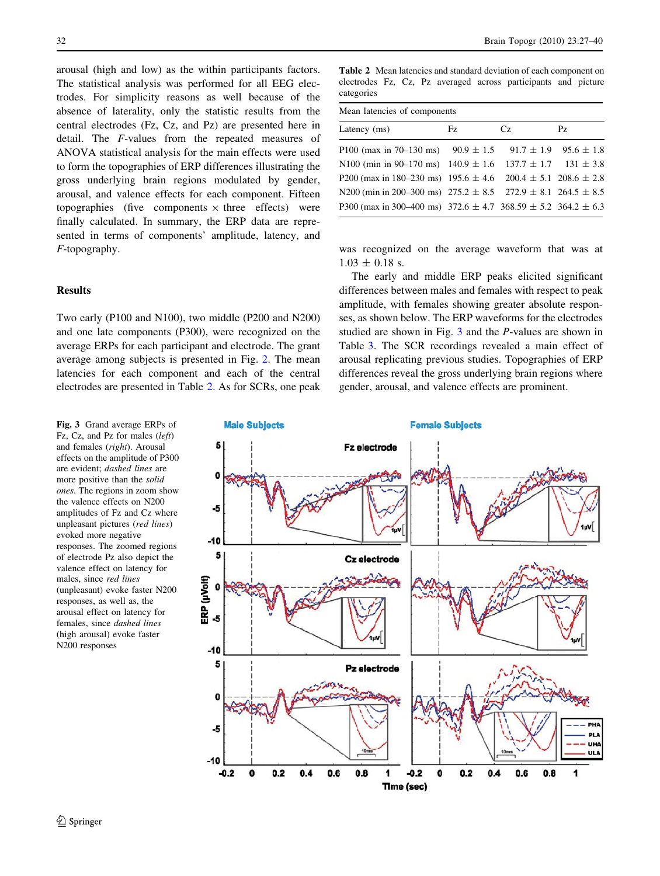<span id="page-5-0"></span>arousal (high and low) as the within participants factors. The statistical analysis was performed for all EEG electrodes. For simplicity reasons as well because of the absence of laterality, only the statistic results from the central electrodes (Fz, Cz, and Pz) are presented here in detail. The F-values from the repeated measures of ANOVA statistical analysis for the main effects were used to form the topographies of ERP differences illustrating the gross underlying brain regions modulated by gender, arousal, and valence effects for each component. Fifteen topographies (five components  $\times$  three effects) were finally calculated. In summary, the ERP data are represented in terms of components' amplitude, latency, and F-topography.

# Results

Two early (P100 and N100), two middle (P200 and N200) and one late components (P300), were recognized on the average ERPs for each participant and electrode. The grant average among subjects is presented in Fig. [2.](#page-4-0) The mean latencies for each component and each of the central electrodes are presented in Table 2. As for SCRs, one peak

Fig. 3 Grand average ERPs of Fz, Cz, and Pz for males (left) and females (right). Arousal effects on the amplitude of P300 are evident; dashed lines are more positive than the solid ones. The regions in zoom show the valence effects on N200 amplitudes of Fz and Cz where unpleasant pictures (red lines) evoked more negative responses. The zoomed regions of electrode Pz also depict the valence effect on latency for males, since red lines (unpleasant) evoke faster N200 responses, as well as, the arousal effect on latency for females, since dashed lines (high arousal) evoke faster N200 responses

Table 2 Mean latencies and standard deviation of each component on electrodes Fz, Cz, Pz averaged across participants and picture categories

| Mean latencies of components                                              |     |     |         |  |  |  |  |
|---------------------------------------------------------------------------|-----|-----|---------|--|--|--|--|
| Latency (ms)                                                              | Fz. | Cz. | $P_{Z}$ |  |  |  |  |
| P100 (max in 70–130 ms) $90.9 \pm 1.5$ $91.7 \pm 1.9$ $95.6 \pm 1.8$      |     |     |         |  |  |  |  |
| N100 (min in 90–170 ms) $140.9 \pm 1.6$ $137.7 \pm 1.7$ $131 \pm 3.8$     |     |     |         |  |  |  |  |
| P200 (max in 180–230 ms) $195.6 \pm 4.6$ $200.4 \pm 5.1$ $208.6 \pm 2.8$  |     |     |         |  |  |  |  |
| N200 (min in 200–300 ms) $275.2 \pm 8.5$ $272.9 \pm 8.1$ $264.5 \pm 8.5$  |     |     |         |  |  |  |  |
| P300 (max in 300–400 ms) 372.6 $\pm$ 4.7 368.59 $\pm$ 5.2 364.2 $\pm$ 6.3 |     |     |         |  |  |  |  |

was recognized on the average waveform that was at  $1.03 \pm 0.18$  s.

The early and middle ERP peaks elicited significant differences between males and females with respect to peak amplitude, with females showing greater absolute responses, as shown below. The ERP waveforms for the electrodes studied are shown in Fig. 3 and the P-values are shown in Table [3](#page-6-0). The SCR recordings revealed a main effect of arousal replicating previous studies. Topographies of ERP differences reveal the gross underlying brain regions where gender, arousal, and valence effects are prominent.

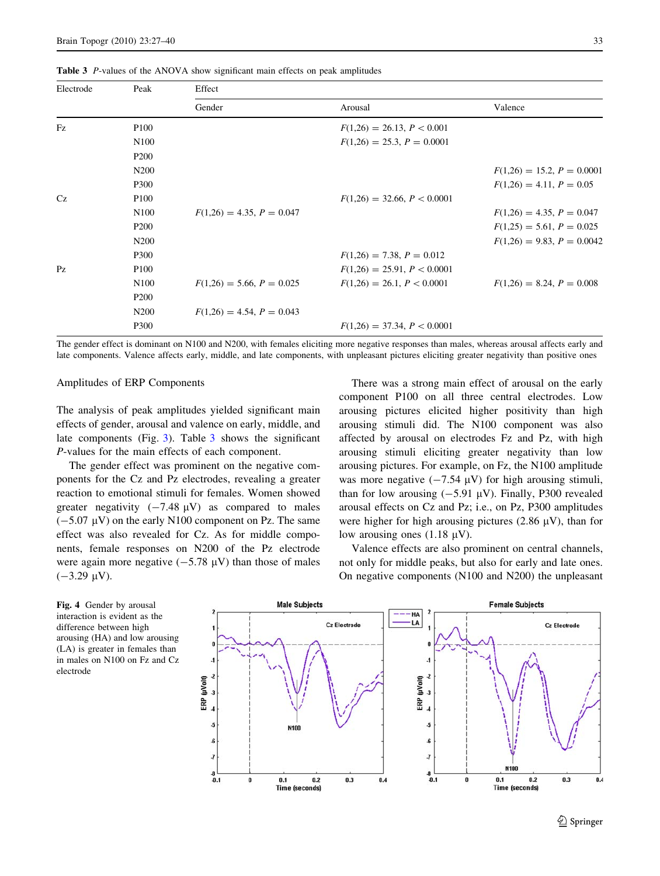<span id="page-6-0"></span>Table 3 P-values of the ANOVA show significant main effects on peak amplitudes

| Electrode | Peak             | Effect                      |                               |                              |  |  |
|-----------|------------------|-----------------------------|-------------------------------|------------------------------|--|--|
|           |                  | Gender                      | Arousal                       | Valence                      |  |  |
| Fz.       | P <sub>100</sub> |                             | $F(1,26) = 26.13, P < 0.001$  |                              |  |  |
|           | N <sub>100</sub> |                             | $F(1,26) = 25.3, P = 0.0001$  |                              |  |  |
|           | P <sub>200</sub> |                             |                               |                              |  |  |
|           | N <sub>200</sub> |                             |                               | $F(1,26) = 15.2, P = 0.0001$ |  |  |
|           | P300             |                             |                               | $F(1,26) = 4.11, P = 0.05$   |  |  |
| Cz        | P <sub>100</sub> |                             | $F(1,26) = 32.66, P < 0.0001$ |                              |  |  |
|           | N <sub>100</sub> | $F(1,26) = 4.35, P = 0.047$ |                               | $F(1,26) = 4.35, P = 0.047$  |  |  |
|           | P <sub>200</sub> |                             |                               | $F(1,25) = 5.61, P = 0.025$  |  |  |
|           | N <sub>200</sub> |                             |                               | $F(1.26) = 9.83, P = 0.0042$ |  |  |
|           | P <sub>300</sub> |                             | $F(1,26) = 7.38, P = 0.012$   |                              |  |  |
| PZ        | P <sub>100</sub> |                             | $F(1,26) = 25.91, P < 0.0001$ |                              |  |  |
|           | N <sub>100</sub> | $F(1,26) = 5.66, P = 0.025$ | $F(1,26) = 26.1, P < 0.0001$  | $F(1,26) = 8.24, P = 0.008$  |  |  |
|           | P <sub>200</sub> |                             |                               |                              |  |  |
|           | N <sub>200</sub> | $F(1,26) = 4.54, P = 0.043$ |                               |                              |  |  |
|           | P300             |                             | $F(1,26) = 37.34, P < 0.0001$ |                              |  |  |

The gender effect is dominant on N100 and N200, with females eliciting more negative responses than males, whereas arousal affects early and late components. Valence affects early, middle, and late components, with unpleasant pictures eliciting greater negativity than positive ones

## Amplitudes of ERP Components

The analysis of peak amplitudes yielded significant main effects of gender, arousal and valence on early, middle, and late components (Fig. [3\)](#page-5-0). Table 3 shows the significant P-values for the main effects of each component.

The gender effect was prominent on the negative components for the Cz and Pz electrodes, revealing a greater reaction to emotional stimuli for females. Women showed greater negativity  $(-7.48 \text{ }\mu\text{V})$  as compared to males  $(-5.07 \mu V)$  on the early N100 component on Pz. The same effect was also revealed for Cz. As for middle components, female responses on N200 of the Pz electrode were again more negative  $(-5.78 \mu V)$  than those of males  $(-3.29 \text{ }\mu\text{V}).$ 

There was a strong main effect of arousal on the early component P100 on all three central electrodes. Low arousing pictures elicited higher positivity than high arousing stimuli did. The N100 component was also affected by arousal on electrodes Fz and Pz, with high arousing stimuli eliciting greater negativity than low arousing pictures. For example, on Fz, the N100 amplitude was more negative  $(-7.54 \mu V)$  for high arousing stimuli, than for low arousing  $(-5.91 \text{ }\mu\text{V})$ . Finally, P300 revealed arousal effects on Cz and Pz; i.e., on Pz, P300 amplitudes were higher for high arousing pictures (2.86  $\mu$ V), than for low arousing ones  $(1.18 \mu V)$ .

Valence effects are also prominent on central channels, not only for middle peaks, but also for early and late ones. On negative components (N100 and N200) the unpleasant

Fig. 4 Gender by arousal interaction is evident as the difference between high arousing (HA) and low arousing (LA) is greater in females than in males on N100 on Fz and Cz electrode

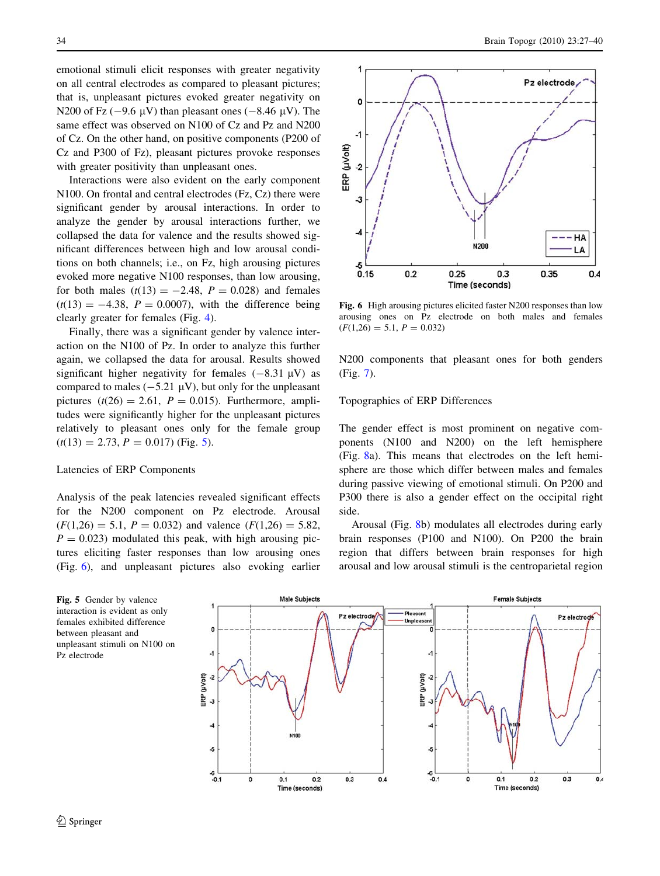emotional stimuli elicit responses with greater negativity on all central electrodes as compared to pleasant pictures; that is, unpleasant pictures evoked greater negativity on N200 of Fz ( $-9.6 \mu V$ ) than pleasant ones ( $-8.46 \mu V$ ). The same effect was observed on N100 of Cz and Pz and N200 of Cz. On the other hand, on positive components (P200 of Cz and P300 of Fz), pleasant pictures provoke responses with greater positivity than unpleasant ones.

Interactions were also evident on the early component N100. On frontal and central electrodes (Fz, Cz) there were significant gender by arousal interactions. In order to analyze the gender by arousal interactions further, we collapsed the data for valence and the results showed significant differences between high and low arousal conditions on both channels; i.e., on Fz, high arousing pictures evoked more negative N100 responses, than low arousing, for both males  $(t(13) = -2.48, P = 0.028)$  and females  $(t(13) = -4.38, P = 0.0007)$ , with the difference being clearly greater for females (Fig. [4\)](#page-6-0).

Finally, there was a significant gender by valence interaction on the N100 of Pz. In order to analyze this further again, we collapsed the data for arousal. Results showed significant higher negativity for females  $(-8.31 \text{ }\mu\text{V})$  as compared to males  $(-5.21 \mu V)$ , but only for the unpleasant pictures  $(t(26) = 2.61, P = 0.015)$ . Furthermore, amplitudes were significantly higher for the unpleasant pictures relatively to pleasant ones only for the female group  $(t(13) = 2.73, P = 0.017)$  (Fig. 5).

## Latencies of ERP Components

Analysis of the peak latencies revealed significant effects for the N200 component on Pz electrode. Arousal  $(F(1,26) = 5.1, P = 0.032)$  and valence  $(F(1,26) = 5.82,$  $P = 0.023$ ) modulated this peak, with high arousing pictures eliciting faster responses than low arousing ones (Fig. 6), and unpleasant pictures also evoking earlier

Fig. 5 Gender by valence interaction is evident as only females exhibited difference between pleasant and unpleasant stimuli on N100 on Pz electrode



Fig. 6 High arousing pictures elicited faster N200 responses than low arousing ones on Pz electrode on both males and females  $(F(1,26) = 5.1, P = 0.032)$ 

N200 components that pleasant ones for both genders (Fig. [7\)](#page-8-0).

## Topographies of ERP Differences

The gender effect is most prominent on negative components (N100 and N200) on the left hemisphere (Fig. [8a](#page-8-0)). This means that electrodes on the left hemisphere are those which differ between males and females during passive viewing of emotional stimuli. On P200 and P300 there is also a gender effect on the occipital right side.

Arousal (Fig. [8](#page-8-0)b) modulates all electrodes during early brain responses (P100 and N100). On P200 the brain region that differs between brain responses for high arousal and low arousal stimuli is the centroparietal region

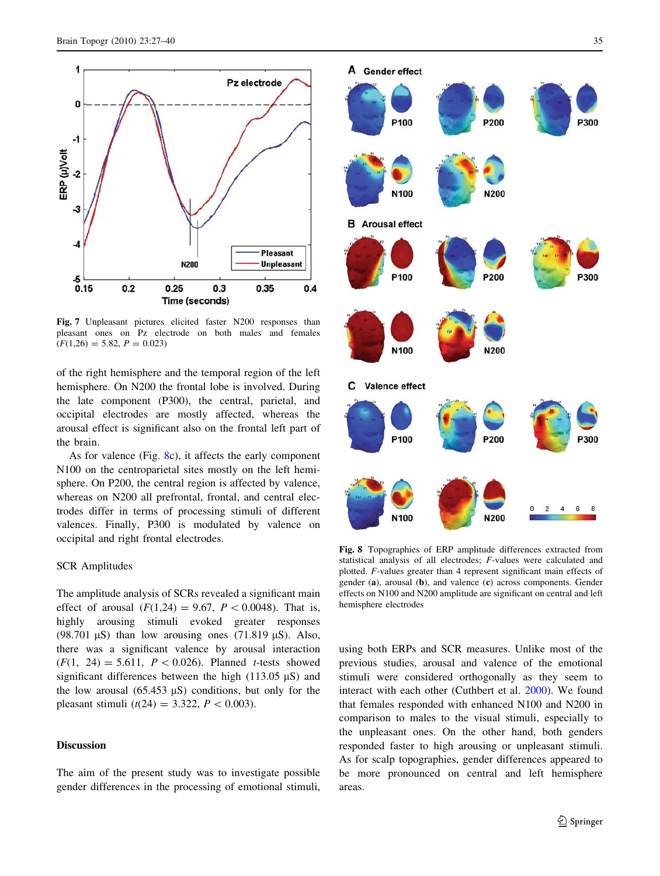<span id="page-8-0"></span>

Fig. 7 Unpleasant pictures elicited faster N200 responses than pleasant ones on Pz electrode on both males and females  $(F(1,26) = 5.82, P = 0.023)$ 

of the right hemisphere and the temporal region of the left hemisphere. On N200 the frontal lobe is involved. During the late component (P300), the central, parietal, and occipital electrodes are mostly affected, whereas the arousal effect is significant also on the frontal left part of the brain.

As for valence (Fig.  $8c$ ), it affects the early component N100 on the centroparietal sites mostly on the left hemisphere. On P200, the central region is affected by valence, whereas on N200 all prefrontal, frontal, and central electrodes differ in terms of processing stimuli of different valences. Finally, P300 is modulated by valence on occipital and right frontal electrodes.

## SCR Amplitudes

The amplitude analysis of SCRs revealed a significant main effect of arousal  $(F(1,24) = 9.67, P < 0.0048)$ . That is, highly arousing stimuli evoked greater responses (98.701  $\mu$ S) than low arousing ones (71.819  $\mu$ S). Also, there was a significant valence by arousal interaction  $(F(1, 24) = 5.611, P < 0.026)$ . Planned t-tests showed significant differences between the high  $(113.05 \mu S)$  and the low arousal  $(65.453 \mu S)$  conditions, but only for the pleasant stimuli ( $t(24) = 3.322$ ,  $P < 0.003$ ).

## Discussion

The aim of the present study was to investigate possible gender differences in the processing of emotional stimuli,



Fig. 8 Topographies of ERP amplitude differences extracted from statistical analysis of all electrodes; F-values were calculated and plotted. F-values greater than 4 represent significant main effects of gender (a), arousal (b), and valence (c) across components. Gender effects on N100 and N200 amplitude are significant on central and left hemisphere electrodes

using both ERPs and SCR measures. Unlike most of the previous studies, arousal and valence of the emotional stimuli were considered orthogonally as they seem to interact with each other (Cuthbert et al. [2000\)](#page-12-0). We found that females responded with enhanced N100 and N200 in comparison to males to the visual stimuli, especially to the unpleasant ones. On the other hand, both genders responded faster to high arousing or unpleasant stimuli. As for scalp topographies, gender differences appeared to be more pronounced on central and left hemisphere areas.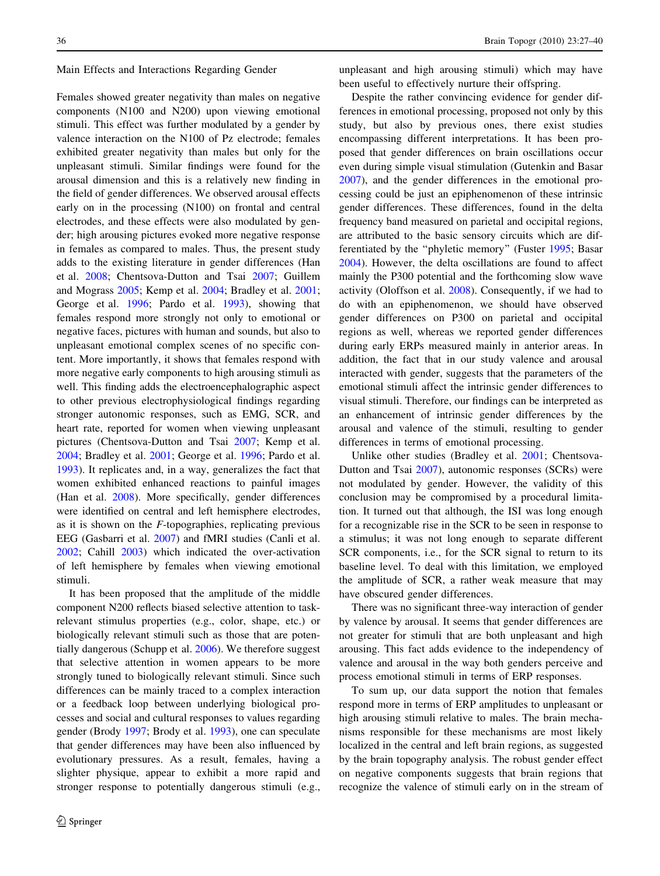### Main Effects and Interactions Regarding Gender

Females showed greater negativity than males on negative components (N100 and N200) upon viewing emotional stimuli. This effect was further modulated by a gender by valence interaction on the N100 of Pz electrode; females exhibited greater negativity than males but only for the unpleasant stimuli. Similar findings were found for the arousal dimension and this is a relatively new finding in the field of gender differences. We observed arousal effects early on in the processing (N100) on frontal and central electrodes, and these effects were also modulated by gender; high arousing pictures evoked more negative response in females as compared to males. Thus, the present study adds to the existing literature in gender differences (Han et al. [2008](#page-12-0); Chentsova-Dutton and Tsai [2007;](#page-11-0) Guillem and Mograss [2005;](#page-12-0) Kemp et al. [2004](#page-12-0); Bradley et al. [2001](#page-11-0); George et al. [1996](#page-12-0); Pardo et al. [1993\)](#page-12-0), showing that females respond more strongly not only to emotional or negative faces, pictures with human and sounds, but also to unpleasant emotional complex scenes of no specific content. More importantly, it shows that females respond with more negative early components to high arousing stimuli as well. This finding adds the electroencephalographic aspect to other previous electrophysiological findings regarding stronger autonomic responses, such as EMG, SCR, and heart rate, reported for women when viewing unpleasant pictures (Chentsova-Dutton and Tsai [2007](#page-11-0); Kemp et al. [2004;](#page-12-0) Bradley et al. [2001;](#page-11-0) George et al. [1996;](#page-12-0) Pardo et al. [1993\)](#page-12-0). It replicates and, in a way, generalizes the fact that women exhibited enhanced reactions to painful images (Han et al. [2008](#page-12-0)). More specifically, gender differences were identified on central and left hemisphere electrodes, as it is shown on the  $F$ -topographies, replicating previous EEG (Gasbarri et al. [2007\)](#page-12-0) and fMRI studies (Canli et al. [2002;](#page-11-0) Cahill [2003](#page-11-0)) which indicated the over-activation of left hemisphere by females when viewing emotional stimuli.

It has been proposed that the amplitude of the middle component N200 reflects biased selective attention to taskrelevant stimulus properties (e.g., color, shape, etc.) or biologically relevant stimuli such as those that are potentially dangerous (Schupp et al. [2006\)](#page-13-0). We therefore suggest that selective attention in women appears to be more strongly tuned to biologically relevant stimuli. Since such differences can be mainly traced to a complex interaction or a feedback loop between underlying biological processes and social and cultural responses to values regarding gender (Brody [1997](#page-11-0); Brody et al. [1993\)](#page-11-0), one can speculate that gender differences may have been also influenced by evolutionary pressures. As a result, females, having a slighter physique, appear to exhibit a more rapid and stronger response to potentially dangerous stimuli (e.g.,

unpleasant and high arousing stimuli) which may have been useful to effectively nurture their offspring.

Despite the rather convincing evidence for gender differences in emotional processing, proposed not only by this study, but also by previous ones, there exist studies encompassing different interpretations. It has been proposed that gender differences on brain oscillations occur even during simple visual stimulation (Gutenkin and Basar [2007](#page-12-0)), and the gender differences in the emotional processing could be just an epiphenomenon of these intrinsic gender differences. These differences, found in the delta frequency band measured on parietal and occipital regions, are attributed to the basic sensory circuits which are differentiated by the ''phyletic memory'' (Fuster [1995](#page-12-0); Basar [2004](#page-11-0)). However, the delta oscillations are found to affect mainly the P300 potential and the forthcoming slow wave activity (Oloffson et al. [2008\)](#page-12-0). Consequently, if we had to do with an epiphenomenon, we should have observed gender differences on P300 on parietal and occipital regions as well, whereas we reported gender differences during early ERPs measured mainly in anterior areas. In addition, the fact that in our study valence and arousal interacted with gender, suggests that the parameters of the emotional stimuli affect the intrinsic gender differences to visual stimuli. Therefore, our findings can be interpreted as an enhancement of intrinsic gender differences by the arousal and valence of the stimuli, resulting to gender differences in terms of emotional processing.

Unlike other studies (Bradley et al. [2001](#page-11-0); Chentsova-Dutton and Tsai [2007](#page-11-0)), autonomic responses (SCRs) were not modulated by gender. However, the validity of this conclusion may be compromised by a procedural limitation. It turned out that although, the ISI was long enough for a recognizable rise in the SCR to be seen in response to a stimulus; it was not long enough to separate different SCR components, i.e., for the SCR signal to return to its baseline level. To deal with this limitation, we employed the amplitude of SCR, a rather weak measure that may have obscured gender differences.

There was no significant three-way interaction of gender by valence by arousal. It seems that gender differences are not greater for stimuli that are both unpleasant and high arousing. This fact adds evidence to the independency of valence and arousal in the way both genders perceive and process emotional stimuli in terms of ERP responses.

To sum up, our data support the notion that females respond more in terms of ERP amplitudes to unpleasant or high arousing stimuli relative to males. The brain mechanisms responsible for these mechanisms are most likely localized in the central and left brain regions, as suggested by the brain topography analysis. The robust gender effect on negative components suggests that brain regions that recognize the valence of stimuli early on in the stream of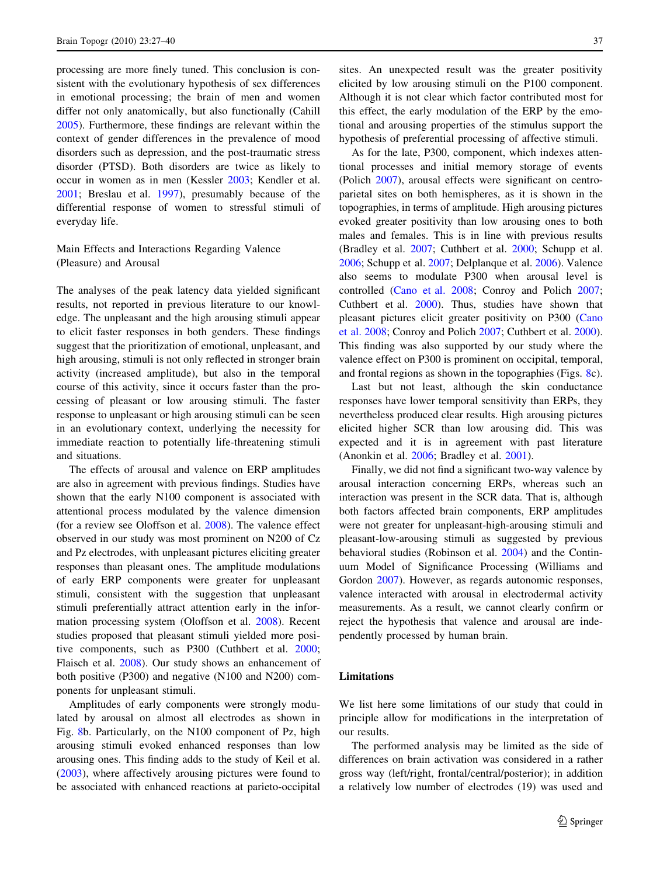processing are more finely tuned. This conclusion is consistent with the evolutionary hypothesis of sex differences in emotional processing; the brain of men and women differ not only anatomically, but also functionally (Cahill [2005\)](#page-11-0). Furthermore, these findings are relevant within the context of gender differences in the prevalence of mood disorders such as depression, and the post-traumatic stress disorder (PTSD). Both disorders are twice as likely to occur in women as in men (Kessler [2003;](#page-12-0) Kendler et al. [2001;](#page-12-0) Breslau et al. [1997\)](#page-11-0), presumably because of the differential response of women to stressful stimuli of everyday life.

# Main Effects and Interactions Regarding Valence (Pleasure) and Arousal

The analyses of the peak latency data yielded significant results, not reported in previous literature to our knowledge. The unpleasant and the high arousing stimuli appear to elicit faster responses in both genders. These findings suggest that the prioritization of emotional, unpleasant, and high arousing, stimuli is not only reflected in stronger brain activity (increased amplitude), but also in the temporal course of this activity, since it occurs faster than the processing of pleasant or low arousing stimuli. The faster response to unpleasant or high arousing stimuli can be seen in an evolutionary context, underlying the necessity for immediate reaction to potentially life-threatening stimuli and situations.

The effects of arousal and valence on ERP amplitudes are also in agreement with previous findings. Studies have shown that the early N100 component is associated with attentional process modulated by the valence dimension (for a review see Oloffson et al. [2008\)](#page-12-0). The valence effect observed in our study was most prominent on N200 of Cz and Pz electrodes, with unpleasant pictures eliciting greater responses than pleasant ones. The amplitude modulations of early ERP components were greater for unpleasant stimuli, consistent with the suggestion that unpleasant stimuli preferentially attract attention early in the information processing system (Oloffson et al. [2008\)](#page-12-0). Recent studies proposed that pleasant stimuli yielded more positive components, such as P300 (Cuthbert et al. [2000](#page-12-0); Flaisch et al. [2008\)](#page-12-0). Our study shows an enhancement of both positive (P300) and negative (N100 and N200) components for unpleasant stimuli.

Amplitudes of early components were strongly modulated by arousal on almost all electrodes as shown in Fig. [8](#page-8-0)b. Particularly, on the N100 component of Pz, high arousing stimuli evoked enhanced responses than low arousing ones. This finding adds to the study of Keil et al. [\(2003](#page-12-0)), where affectively arousing pictures were found to be associated with enhanced reactions at parieto-occipital sites. An unexpected result was the greater positivity elicited by low arousing stimuli on the P100 component. Although it is not clear which factor contributed most for this effect, the early modulation of the ERP by the emotional and arousing properties of the stimulus support the hypothesis of preferential processing of affective stimuli.

As for the late, P300, component, which indexes attentional processes and initial memory storage of events (Polich [2007](#page-12-0)), arousal effects were significant on centroparietal sites on both hemispheres, as it is shown in the topographies, in terms of amplitude. High arousing pictures evoked greater positivity than low arousing ones to both males and females. This is in line with previous results (Bradley et al. [2007;](#page-11-0) Cuthbert et al. [2000](#page-12-0); Schupp et al. [2006](#page-13-0); Schupp et al. [2007](#page-13-0); Delplanque et al. [2006](#page-12-0)). Valence also seems to modulate P300 when arousal level is controlled [\(Cano et al. 2008](#page-11-0); Conroy and Polich [2007](#page-11-0); Cuthbert et al. [2000\)](#page-12-0). Thus, studies have shown that pleasant pictures elicit greater positivity on P300 [\(Cano](#page-11-0) [et al. 2008](#page-11-0); Conroy and Polich [2007](#page-11-0); Cuthbert et al. [2000](#page-12-0)). This finding was also supported by our study where the valence effect on P300 is prominent on occipital, temporal, and frontal regions as shown in the topographies (Figs. [8c](#page-8-0)).

Last but not least, although the skin conductance responses have lower temporal sensitivity than ERPs, they nevertheless produced clear results. High arousing pictures elicited higher SCR than low arousing did. This was expected and it is in agreement with past literature (Anonkin et al. [2006](#page-11-0); Bradley et al. [2001](#page-11-0)).

Finally, we did not find a significant two-way valence by arousal interaction concerning ERPs, whereas such an interaction was present in the SCR data. That is, although both factors affected brain components, ERP amplitudes were not greater for unpleasant-high-arousing stimuli and pleasant-low-arousing stimuli as suggested by previous behavioral studies (Robinson et al. [2004\)](#page-12-0) and the Continuum Model of Significance Processing (Williams and Gordon [2007](#page-13-0)). However, as regards autonomic responses, valence interacted with arousal in electrodermal activity measurements. As a result, we cannot clearly confirm or reject the hypothesis that valence and arousal are independently processed by human brain.

## Limitations

We list here some limitations of our study that could in principle allow for modifications in the interpretation of our results.

The performed analysis may be limited as the side of differences on brain activation was considered in a rather gross way (left/right, frontal/central/posterior); in addition a relatively low number of electrodes (19) was used and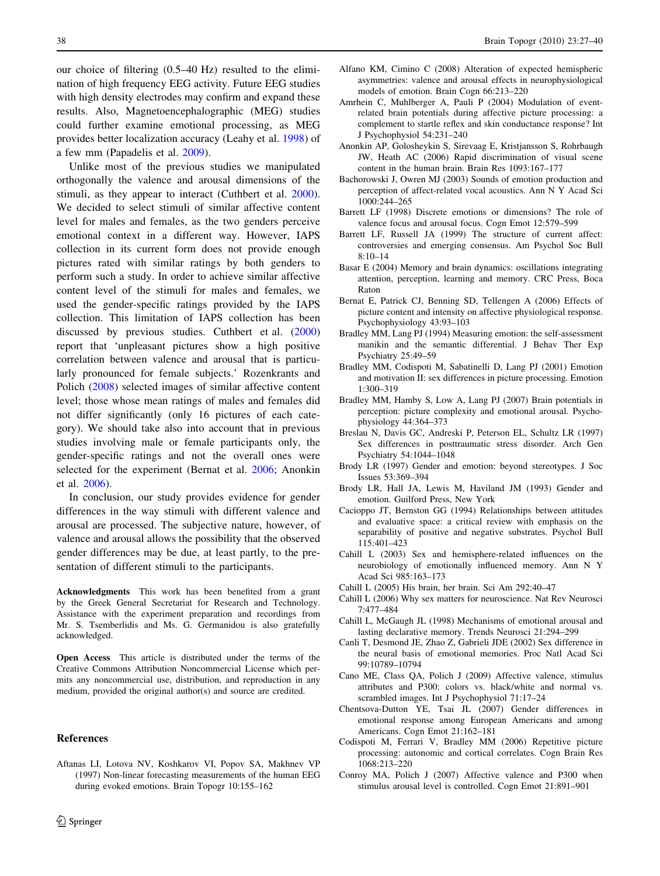<span id="page-11-0"></span>our choice of filtering (0.5–40 Hz) resulted to the elimination of high frequency EEG activity. Future EEG studies with high density electrodes may confirm and expand these results. Also, Magnetoencephalographic (MEG) studies could further examine emotional processing, as MEG provides better localization accuracy (Leahy et al. [1998\)](#page-12-0) of a few mm (Papadelis et al. [2009\)](#page-12-0).

Unlike most of the previous studies we manipulated orthogonally the valence and arousal dimensions of the stimuli, as they appear to interact (Cuthbert et al. [2000](#page-12-0)). We decided to select stimuli of similar affective content level for males and females, as the two genders perceive emotional context in a different way. However, IAPS collection in its current form does not provide enough pictures rated with similar ratings by both genders to perform such a study. In order to achieve similar affective content level of the stimuli for males and females, we used the gender-specific ratings provided by the IAPS collection. This limitation of IAPS collection has been discussed by previous studies. Cuthbert et al. ([2000\)](#page-12-0) report that 'unpleasant pictures show a high positive correlation between valence and arousal that is particularly pronounced for female subjects.' Rozenkrants and Polich [\(2008](#page-12-0)) selected images of similar affective content level; those whose mean ratings of males and females did not differ significantly (only 16 pictures of each category). We should take also into account that in previous studies involving male or female participants only, the gender-specific ratings and not the overall ones were selected for the experiment (Bernat et al. 2006; Anonkin et al. 2006).

In conclusion, our study provides evidence for gender differences in the way stimuli with different valence and arousal are processed. The subjective nature, however, of valence and arousal allows the possibility that the observed gender differences may be due, at least partly, to the presentation of different stimuli to the participants.

Acknowledgments This work has been benefited from a grant by the Greek General Secretariat for Research and Technology. Assistance with the experiment preparation and recordings from Mr. S. Tsemberlidis and Ms. G. Germanidou is also gratefully acknowledged.

Open Access This article is distributed under the terms of the Creative Commons Attribution Noncommercial License which permits any noncommercial use, distribution, and reproduction in any medium, provided the original author(s) and source are credited.

## References

Aftanas LI, Lotova NV, Koshkarov VI, Popov SA, Makhnev VP (1997) Non-linear forecasting measurements of the human EEG during evoked emotions. Brain Topogr 10:155–162

- Alfano KM, Cimino C (2008) Alteration of expected hemispheric asymmetries: valence and arousal effects in neurophysiological models of emotion. Brain Cogn 66:213–220
- Amrhein C, Muhlberger A, Pauli P (2004) Modulation of eventrelated brain potentials during affective picture processing: a complement to startle reflex and skin conductance response? Int J Psychophysiol 54:231–240
- Anonkin AP, Golosheykin S, Sirevaag E, Kristjansson S, Rohrbaugh JW, Heath AC (2006) Rapid discrimination of visual scene content in the human brain. Brain Res 1093:167–177
- Bachorowski J, Owren MJ (2003) Sounds of emotion production and perception of affect-related vocal acoustics. Ann N Y Acad Sci 1000:244–265
- Barrett LF (1998) Discrete emotions or dimensions? The role of valence focus and arousal focus. Cogn Emot 12:579–599
- Barrett LF, Russell JA (1999) The structure of current affect: controversies and emerging consensus. Am Psychol Soc Bull  $8:10-14$
- Basar E (2004) Memory and brain dynamics: oscillations integrating attention, perception, learning and memory. CRC Press, Boca Raton
- Bernat E, Patrick CJ, Benning SD, Tellengen A (2006) Effects of picture content and intensity on affective physiological response. Psychophysiology 43:93–103
- Bradley MM, Lang PJ (1994) Measuring emotion: the self-assessment manikin and the semantic differential. J Behav Ther Exp Psychiatry 25:49–59
- Bradley MM, Codispoti M, Sabatinelli D, Lang PJ (2001) Emotion and motivation II: sex differences in picture processing. Emotion 1:300–319
- Bradley MM, Hamby S, Low A, Lang PJ (2007) Brain potentials in perception: picture complexity and emotional arousal. Psychophysiology 44:364–373
- Breslau N, Davis GC, Andreski P, Peterson EL, Schultz LR (1997) Sex differences in posttraumatic stress disorder. Arch Gen Psychiatry 54:1044–1048
- Brody LR (1997) Gender and emotion: beyond stereotypes. J Soc Issues 53:369–394
- Brody LR, Hall JA, Lewis M, Haviland JM (1993) Gender and emotion. Guilford Press, New York
- Cacioppo JT, Bernston GG (1994) Relationships between attitudes and evaluative space: a critical review with emphasis on the separability of positive and negative substrates. Psychol Bull 115:401–423
- Cahill L (2003) Sex and hemisphere-related influences on the neurobiology of emotionally influenced memory. Ann N Y Acad Sci 985:163–173
- Cahill L (2005) His brain, her brain. Sci Am 292:40–47
- Cahill L (2006) Why sex matters for neuroscience. Nat Rev Neurosci 7:477–484
- Cahill L, McGaugh JL (1998) Mechanisms of emotional arousal and lasting declarative memory. Trends Neurosci 21:294–299
- Canli T, Desmond JE, Zhao Z, Gabrieli JDE (2002) Sex difference in the neural basis of emotional memories. Proc Natl Acad Sci 99:10789–10794
- Cano ME, Class QA, Polich J (2009) Affective valence, stimulus attributes and P300: colors vs. black/white and normal vs. scrambled images. Int J Psychophysiol 71:17–24
- Chentsova-Dutton YE, Tsai JL (2007) Gender differences in emotional response among European Americans and among Americans. Cogn Emot 21:162–181
- Codispoti M, Ferrari V, Bradley MM (2006) Repetitive picture processing: autonomic and cortical correlates. Cogn Brain Res 1068:213–220
- Conroy MA, Polich J (2007) Affective valence and P300 when stimulus arousal level is controlled. Cogn Emot 21:891–901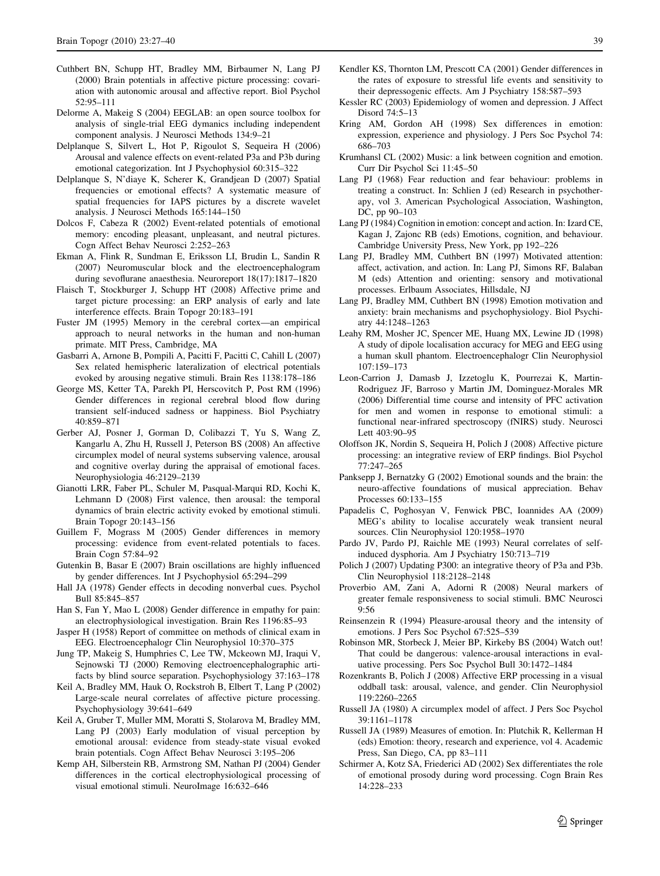- <span id="page-12-0"></span>Cuthbert BN, Schupp HT, Bradley MM, Birbaumer N, Lang PJ (2000) Brain potentials in affective picture processing: covariation with autonomic arousal and affective report. Biol Psychol 52:95–111
- Delorme A, Makeig S (2004) EEGLAB: an open source toolbox for analysis of single-trial EEG dymanics including independent component analysis. J Neurosci Methods 134:9–21
- Delplanque S, Silvert L, Hot P, Rigoulot S, Sequeira H (2006) Arousal and valence effects on event-related P3a and P3b during emotional categorization. Int J Psychophysiol 60:315–322
- Delplanque S, N'diaye K, Scherer K, Grandjean D (2007) Spatial frequencies or emotional effects? A systematic measure of spatial frequencies for IAPS pictures by a discrete wavelet analysis. J Neurosci Methods 165:144–150
- Dolcos F, Cabeza R (2002) Event-related potentials of emotional memory: encoding pleasant, unpleasant, and neutral pictures. Cogn Affect Behav Neurosci 2:252–263
- Ekman A, Flink R, Sundman E, Eriksson LI, Brudin L, Sandin R (2007) Neuromuscular block and the electroencephalogram during sevoflurane anaesthesia. Neuroreport 18(17):1817–1820
- Flaisch T, Stockburger J, Schupp HT (2008) Affective prime and target picture processing: an ERP analysis of early and late interference effects. Brain Topogr 20:183–191
- Fuster JM (1995) Memory in the cerebral cortex—an empirical approach to neural networks in the human and non-human primate. MIT Press, Cambridge, MA
- Gasbarri A, Arnone B, Pompili A, Pacitti F, Pacitti C, Cahill L (2007) Sex related hemispheric lateralization of electrical potentials evoked by arousing negative stimuli. Brain Res 1138:178–186
- George MS, Ketter TA, Parekh PI, Herscovitch P, Post RM (1996) Gender differences in regional cerebral blood flow during transient self-induced sadness or happiness. Biol Psychiatry 40:859–871
- Gerber AJ, Posner J, Gorman D, Colibazzi T, Yu S, Wang Z, Kangarlu A, Zhu H, Russell J, Peterson BS (2008) An affective circumplex model of neural systems subserving valence, arousal and cognitive overlay during the appraisal of emotional faces. Neurophysiologia 46:2129–2139
- Gianotti LRR, Faber PL, Schuler M, Pasqual-Marqui RD, Kochi K, Lehmann D (2008) First valence, then arousal: the temporal dynamics of brain electric activity evoked by emotional stimuli. Brain Topogr 20:143–156
- Guillem F, Mograss M (2005) Gender differences in memory processing: evidence from event-related potentials to faces. Brain Cogn 57:84–92
- Gutenkin B, Basar E (2007) Brain oscillations are highly influenced by gender differences. Int J Psychophysiol 65:294–299
- Hall JA (1978) Gender effects in decoding nonverbal cues. Psychol Bull 85:845–857
- Han S, Fan Y, Mao L (2008) Gender difference in empathy for pain: an electrophysiological investigation. Brain Res 1196:85–93
- Jasper H (1958) Report of committee on methods of clinical exam in EEG. Electroencephalogr Clin Neurophysiol 10:370–375
- Jung TP, Makeig S, Humphries C, Lee TW, Mckeown MJ, Iraqui V, Sejnowski TJ (2000) Removing electroencephalographic artifacts by blind source separation. Psychophysiology 37:163–178
- Keil A, Bradley MM, Hauk O, Rockstroh B, Elbert T, Lang P (2002) Large-scale neural correlates of affective picture processing. Psychophysiology 39:641–649
- Keil A, Gruber T, Muller MM, Moratti S, Stolarova M, Bradley MM, Lang PJ (2003) Early modulation of visual perception by emotional arousal: evidence from steady-state visual evoked brain potentials. Cogn Affect Behav Neurosci 3:195–206
- Kemp AH, Silberstein RB, Armstrong SM, Nathan PJ (2004) Gender differences in the cortical electrophysiological processing of visual emotional stimuli. NeuroImage 16:632–646
- Kendler KS, Thornton LM, Prescott CA (2001) Gender differences in the rates of exposure to stressful life events and sensitivity to their depressogenic effects. Am J Psychiatry 158:587–593
- Kessler RC (2003) Epidemiology of women and depression. J Affect Disord 74:5–13
- Kring AM, Gordon AH (1998) Sex differences in emotion: expression, experience and physiology. J Pers Soc Psychol 74: 686–703
- Krumhansl CL (2002) Music: a link between cognition and emotion. Curr Dir Psychol Sci 11:45–50
- Lang PJ (1968) Fear reduction and fear behaviour: problems in treating a construct. In: Schlien J (ed) Research in psychotherapy, vol 3. American Psychological Association, Washington, DC, pp 90–103
- Lang PJ (1984) Cognition in emotion: concept and action. In: Izard CE, Kagan J, Zajonc RB (eds) Emotions, cognition, and behaviour. Cambridge University Press, New York, pp 192–226
- Lang PJ, Bradley MM, Cuthbert BN (1997) Motivated attention: affect, activation, and action. In: Lang PJ, Simons RF, Balaban M (eds) Attention and orienting: sensory and motivational processes. Erlbaum Associates, Hillsdale, NJ
- Lang PJ, Bradley MM, Cuthbert BN (1998) Emotion motivation and anxiety: brain mechanisms and psychophysiology. Biol Psychiatry 44:1248–1263
- Leahy RM, Mosher JC, Spencer ME, Huang MX, Lewine JD (1998) A study of dipole localisation accuracy for MEG and EEG using a human skull phantom. Electroencephalogr Clin Neurophysiol 107:159–173
- Leon-Carrion J, Damasb J, Izzetoglu K, Pourrezai K, Martin-Rodriguez JF, Barroso y Martin JM, Dominguez-Morales MR (2006) Differential time course and intensity of PFC activation for men and women in response to emotional stimuli: a functional near-infrared spectroscopy (fNIRS) study. Neurosci Lett 403:90–95
- Oloffson JK, Nordin S, Sequeira H, Polich J (2008) Affective picture processing: an integrative review of ERP findings. Biol Psychol 77:247–265
- Panksepp J, Bernatzky G (2002) Emotional sounds and the brain: the neuro-affective foundations of musical appreciation. Behav Processes 60:133–155
- Papadelis C, Poghosyan V, Fenwick PBC, Ioannides AA (2009) MEG's ability to localise accurately weak transient neural sources. Clin Neurophysiol 120:1958–1970
- Pardo JV, Pardo PJ, Raichle ME (1993) Neural correlates of selfinduced dysphoria. Am J Psychiatry 150:713–719
- Polich J (2007) Updating P300: an integrative theory of P3a and P3b. Clin Neurophysiol 118:2128–2148
- Proverbio AM, Zani A, Adorni R (2008) Neural markers of greater female responsiveness to social stimuli. BMC Neurosci 9:56
- Reinsenzein R (1994) Pleasure-arousal theory and the intensity of emotions. J Pers Soc Psychol 67:525–539
- Robinson MR, Storbeck J, Meier BP, Kirkeby BS (2004) Watch out! That could be dangerous: valence-arousal interactions in evaluative processing. Pers Soc Psychol Bull 30:1472–1484
- Rozenkrants B, Polich J (2008) Affective ERP processing in a visual oddball task: arousal, valence, and gender. Clin Neurophysiol 119:2260–2265
- Russell JA (1980) A circumplex model of affect. J Pers Soc Psychol 39:1161–1178
- Russell JA (1989) Measures of emotion. In: Plutchik R, Kellerman H (eds) Emotion: theory, research and experience, vol 4. Academic Press, San Diego, CA, pp 83–111
- Schirmer A, Kotz SA, Friederici AD (2002) Sex differentiates the role of emotional prosody during word processing. Cogn Brain Res 14:228–233